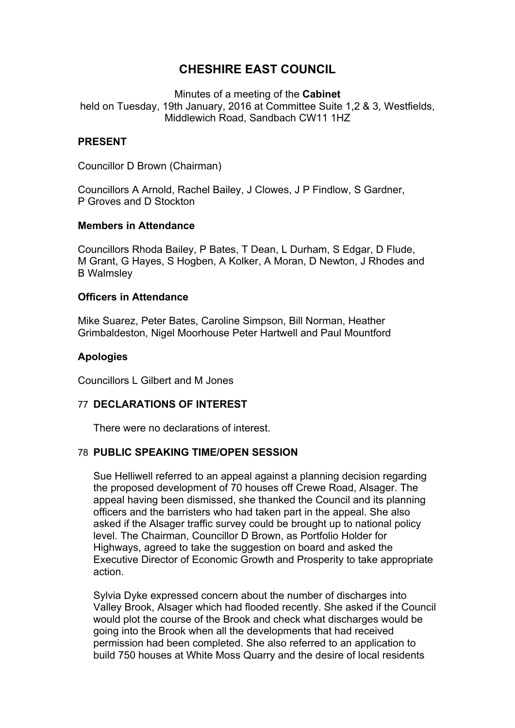# **CHESHIRE EAST COUNCIL**

Minutes of a meeting of the **Cabinet** held on Tuesday, 19th January, 2016 at Committee Suite 1,2 & 3, Westfields, Middlewich Road, Sandbach CW11 1HZ

## **PRESENT**

Councillor D Brown (Chairman)

Councillors A Arnold, Rachel Bailey, J Clowes, J P Findlow, S Gardner, P Groves and D Stockton

## **Members in Attendance**

Councillors Rhoda Bailey, P Bates, T Dean, L Durham, S Edgar, D Flude, M Grant, G Hayes, S Hogben, A Kolker, A Moran, D Newton, J Rhodes and B Walmsley

#### **Officers in Attendance**

Mike Suarez, Peter Bates, Caroline Simpson, Bill Norman, Heather Grimbaldeston, Nigel Moorhouse Peter Hartwell and Paul Mountford

## **Apologies**

Councillors L Gilbert and M Jones

## 77 **DECLARATIONS OF INTEREST**

There were no declarations of interest.

## 78 **PUBLIC SPEAKING TIME/OPEN SESSION**

Sue Helliwell referred to an appeal against a planning decision regarding the proposed development of 70 houses off Crewe Road, Alsager. The appeal having been dismissed, she thanked the Council and its planning officers and the barristers who had taken part in the appeal. She also asked if the Alsager traffic survey could be brought up to national policy level. The Chairman, Councillor D Brown, as Portfolio Holder for Highways, agreed to take the suggestion on board and asked the Executive Director of Economic Growth and Prosperity to take appropriate action.

Sylvia Dyke expressed concern about the number of discharges into Valley Brook, Alsager which had flooded recently. She asked if the Council would plot the course of the Brook and check what discharges would be going into the Brook when all the developments that had received permission had been completed. She also referred to an application to build 750 houses at White Moss Quarry and the desire of local residents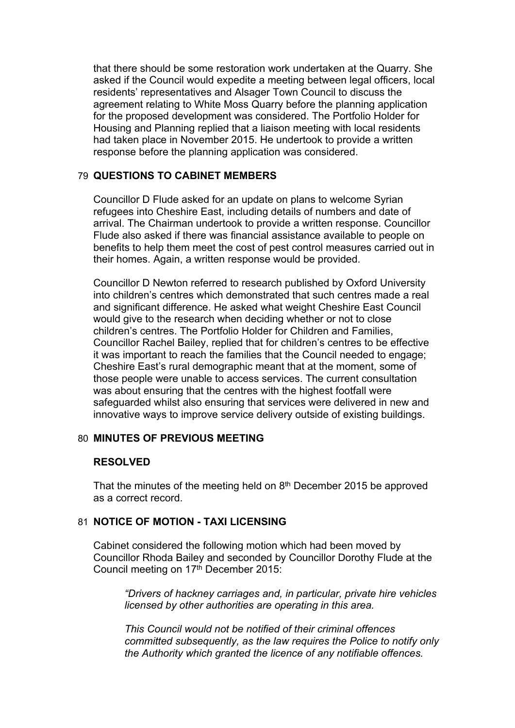that there should be some restoration work undertaken at the Quarry. She asked if the Council would expedite a meeting between legal officers, local residents' representatives and Alsager Town Council to discuss the agreement relating to White Moss Quarry before the planning application for the proposed development was considered. The Portfolio Holder for Housing and Planning replied that a liaison meeting with local residents had taken place in November 2015. He undertook to provide a written response before the planning application was considered.

## 79 **QUESTIONS TO CABINET MEMBERS**

Councillor D Flude asked for an update on plans to welcome Syrian refugees into Cheshire East, including details of numbers and date of arrival. The Chairman undertook to provide a written response. Councillor Flude also asked if there was financial assistance available to people on benefits to help them meet the cost of pest control measures carried out in their homes. Again, a written response would be provided.

Councillor D Newton referred to research published by Oxford University into children's centres which demonstrated that such centres made a real and significant difference. He asked what weight Cheshire East Council would give to the research when deciding whether or not to close children's centres. The Portfolio Holder for Children and Families, Councillor Rachel Bailey, replied that for children's centres to be effective it was important to reach the families that the Council needed to engage; Cheshire East's rural demographic meant that at the moment, some of those people were unable to access services. The current consultation was about ensuring that the centres with the highest footfall were safeguarded whilst also ensuring that services were delivered in new and innovative ways to improve service delivery outside of existing buildings.

## 80 **MINUTES OF PREVIOUS MEETING**

## **RESOLVED**

That the minutes of the meeting held on  $8<sup>th</sup>$  December 2015 be approved as a correct record.

## 81 **NOTICE OF MOTION - TAXI LICENSING**

Cabinet considered the following motion which had been moved by Councillor Rhoda Bailey and seconded by Councillor Dorothy Flude at the Council meeting on 17<sup>th</sup> December 2015:

*"Drivers of hackney carriages and, in particular, private hire vehicles licensed by other authorities are operating in this area.* 

*This Council would not be notified of their criminal offences committed subsequently, as the law requires the Police to notify only the Authority which granted the licence of any notifiable offences.*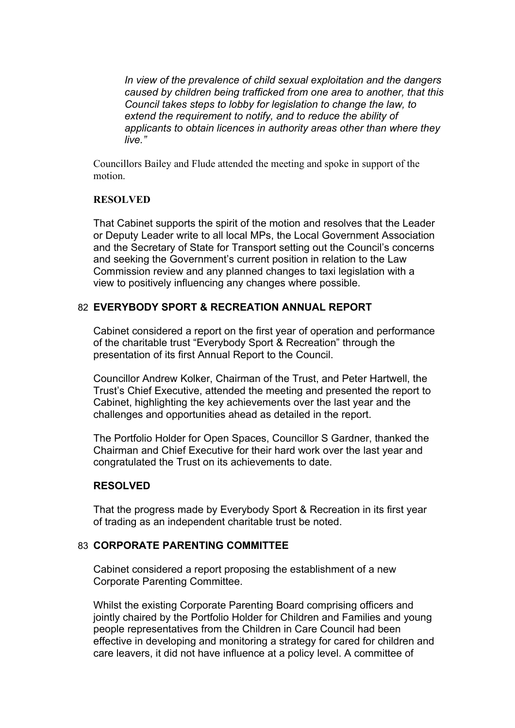*In view of the prevalence of child sexual exploitation and the dangers caused by children being trafficked from one area to another, that this Council takes steps to lobby for legislation to change the law, to extend the requirement to notify, and to reduce the ability of applicants to obtain licences in authority areas other than where they live."*

Councillors Bailey and Flude attended the meeting and spoke in support of the motion.

#### **RESOLVED**

That Cabinet supports the spirit of the motion and resolves that the Leader or Deputy Leader write to all local MPs, the Local Government Association and the Secretary of State for Transport setting out the Council's concerns and seeking the Government's current position in relation to the Law Commission review and any planned changes to taxi legislation with a view to positively influencing any changes where possible.

## 82 **EVERYBODY SPORT & RECREATION ANNUAL REPORT**

Cabinet considered a report on the first year of operation and performance of the charitable trust "Everybody Sport & Recreation" through the presentation of its first Annual Report to the Council.

Councillor Andrew Kolker, Chairman of the Trust, and Peter Hartwell, the Trust's Chief Executive, attended the meeting and presented the report to Cabinet, highlighting the key achievements over the last year and the challenges and opportunities ahead as detailed in the report.

The Portfolio Holder for Open Spaces, Councillor S Gardner, thanked the Chairman and Chief Executive for their hard work over the last year and congratulated the Trust on its achievements to date.

## **RESOLVED**

That the progress made by Everybody Sport & Recreation in its first year of trading as an independent charitable trust be noted.

## 83 **CORPORATE PARENTING COMMITTEE**

Cabinet considered a report proposing the establishment of a new Corporate Parenting Committee.

Whilst the existing Corporate Parenting Board comprising officers and jointly chaired by the Portfolio Holder for Children and Families and young people representatives from the Children in Care Council had been effective in developing and monitoring a strategy for cared for children and care leavers, it did not have influence at a policy level. A committee of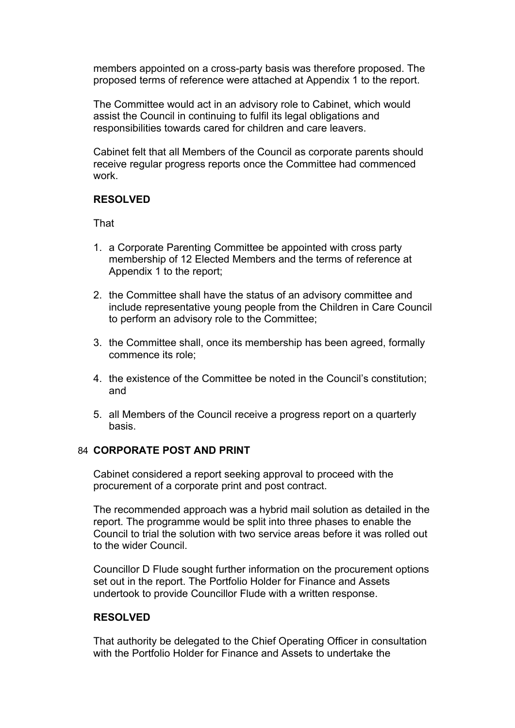members appointed on a cross-party basis was therefore proposed. The proposed terms of reference were attached at Appendix 1 to the report.

The Committee would act in an advisory role to Cabinet, which would assist the Council in continuing to fulfil its legal obligations and responsibilities towards cared for children and care leavers.

Cabinet felt that all Members of the Council as corporate parents should receive regular progress reports once the Committee had commenced work.

#### **RESOLVED**

That

- 1. a Corporate Parenting Committee be appointed with cross party membership of 12 Elected Members and the terms of reference at Appendix 1 to the report;
- 2. the Committee shall have the status of an advisory committee and include representative young people from the Children in Care Council to perform an advisory role to the Committee;
- 3. the Committee shall, once its membership has been agreed, formally commence its role;
- 4. the existence of the Committee be noted in the Council's constitution; and
- 5. all Members of the Council receive a progress report on a quarterly basis.

### 84 **CORPORATE POST AND PRINT**

Cabinet considered a report seeking approval to proceed with the procurement of a corporate print and post contract.

The recommended approach was a hybrid mail solution as detailed in the report. The programme would be split into three phases to enable the Council to trial the solution with two service areas before it was rolled out to the wider Council.

Councillor D Flude sought further information on the procurement options set out in the report. The Portfolio Holder for Finance and Assets undertook to provide Councillor Flude with a written response.

## **RESOLVED**

That authority be delegated to the Chief Operating Officer in consultation with the Portfolio Holder for Finance and Assets to undertake the